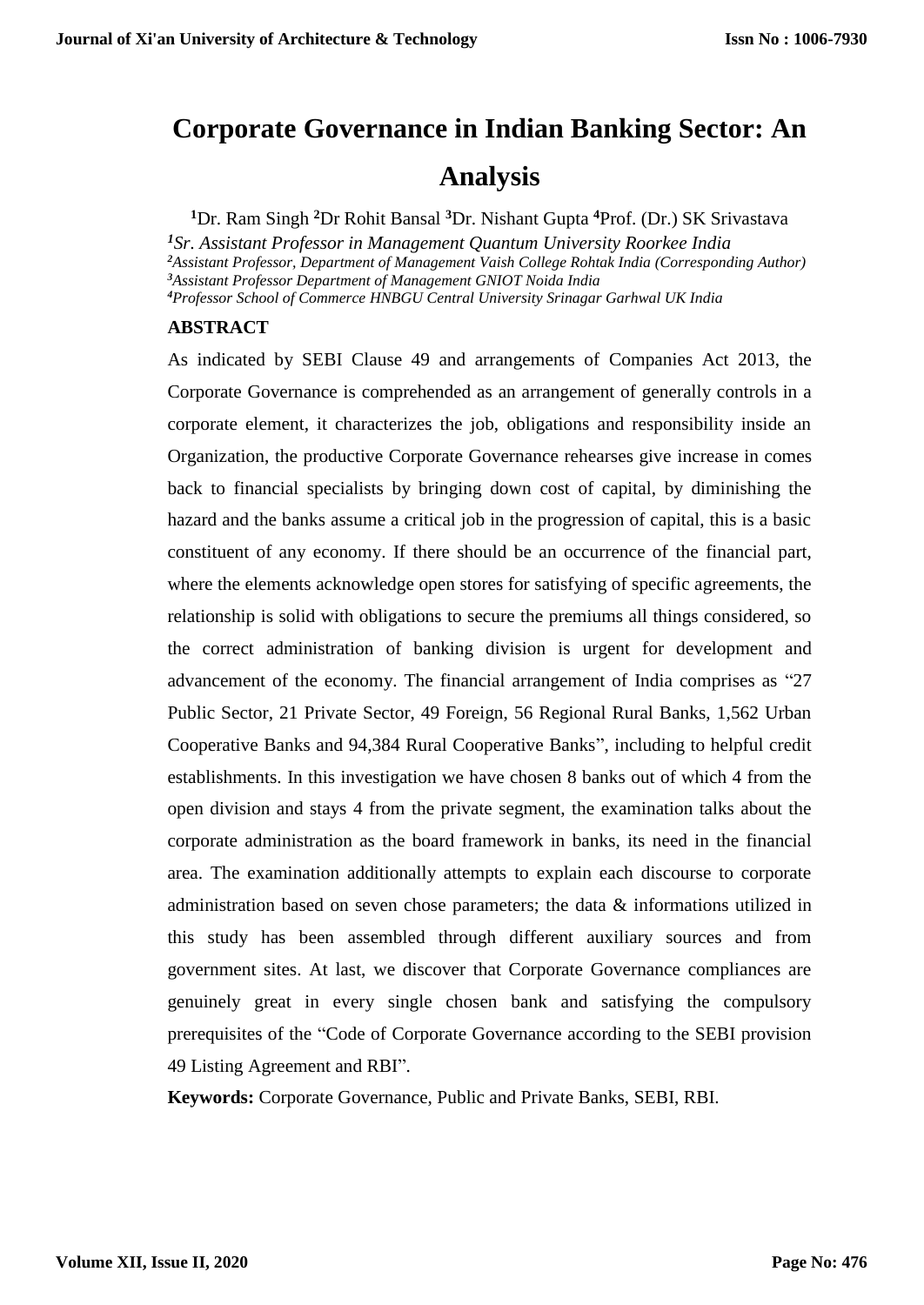# **Corporate Governance in Indian Banking Sector: An**

# **Analysis**

**<sup>1</sup>**Dr. Ram Singh **<sup>2</sup>**Dr Rohit Bansal **<sup>3</sup>**Dr. Nishant Gupta **<sup>4</sup>**Prof. (Dr.) SK Srivastava

*Sr. Assistant Professor in Management Quantum University Roorkee India Assistant Professor, Department of Management Vaish College Rohtak India (Corresponding Author) Assistant Professor Department of Management GNIOT Noida India Professor School of Commerce HNBGU Central University Srinagar Garhwal UK India*

# **ABSTRACT**

As indicated by SEBI Clause 49 and arrangements of Companies Act 2013, the Corporate Governance is comprehended as an arrangement of generally controls in a corporate element, it characterizes the job, obligations and responsibility inside an Organization, the productive Corporate Governance rehearses give increase in comes back to financial specialists by bringing down cost of capital, by diminishing the hazard and the banks assume a critical job in the progression of capital, this is a basic constituent of any economy. If there should be an occurrence of the financial part, where the elements acknowledge open stores for satisfying of specific agreements, the relationship is solid with obligations to secure the premiums all things considered, so the correct administration of banking division is urgent for development and advancement of the economy. The financial arrangement of India comprises as "27 Public Sector, 21 Private Sector, 49 Foreign, 56 Regional Rural Banks, 1,562 Urban Cooperative Banks and 94,384 Rural Cooperative Banks", including to helpful credit establishments. In this investigation we have chosen 8 banks out of which 4 from the open division and stays 4 from the private segment, the examination talks about the corporate administration as the board framework in banks, its need in the financial area. The examination additionally attempts to explain each discourse to corporate administration based on seven chose parameters; the data & informations utilized in this study has been assembled through different auxiliary sources and from government sites. At last, we discover that Corporate Governance compliances are genuinely great in every single chosen bank and satisfying the compulsory prerequisites of the "Code of Corporate Governance according to the SEBI provision 49 Listing Agreement and RBI".

**Keywords:** Corporate Governance, Public and Private Banks, SEBI, RBI.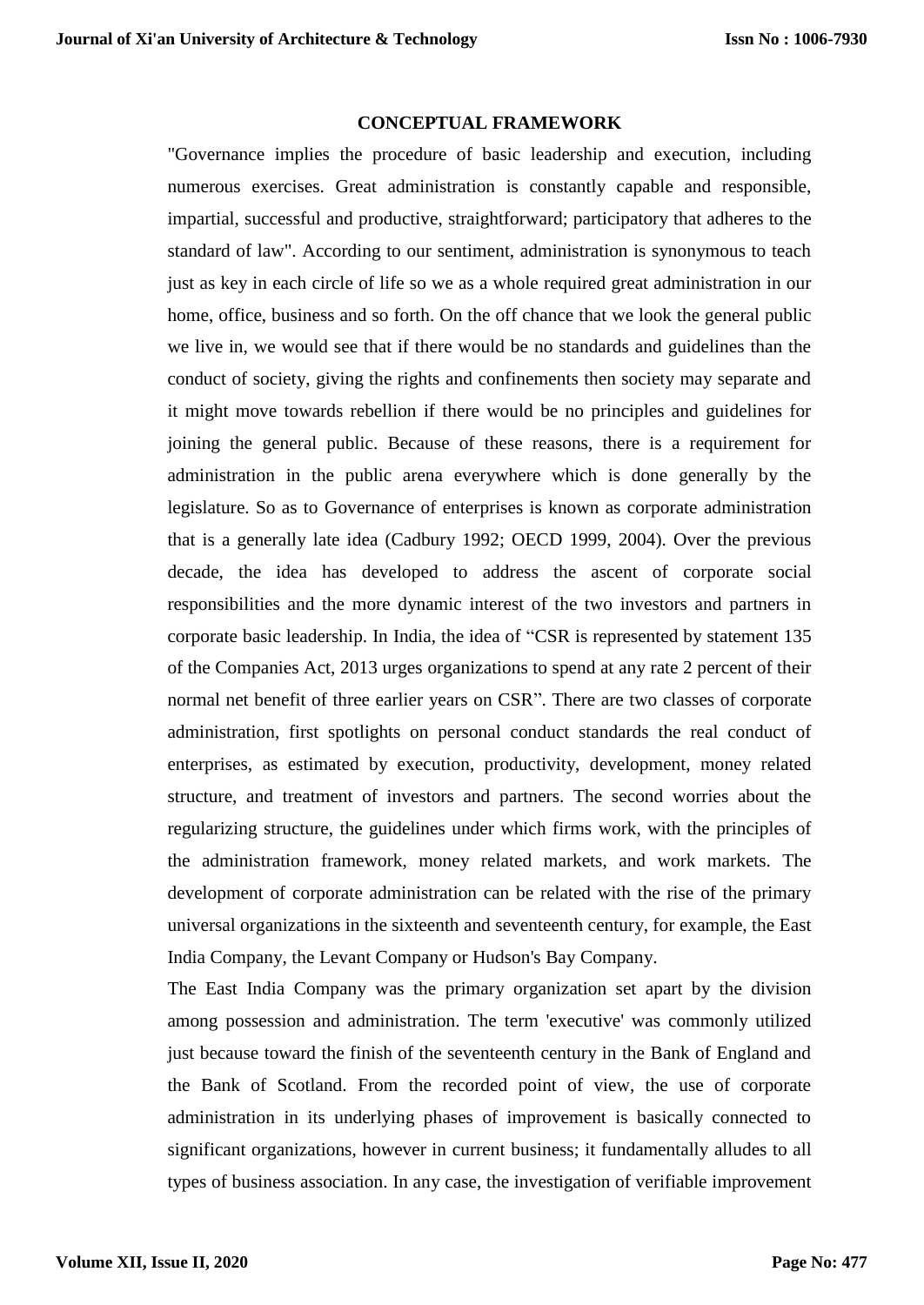## **CONCEPTUAL FRAMEWORK**

"Governance implies the procedure of basic leadership and execution, including numerous exercises. Great administration is constantly capable and responsible, impartial, successful and productive, straightforward; participatory that adheres to the standard of law". According to our sentiment, administration is synonymous to teach just as key in each circle of life so we as a whole required great administration in our home, office, business and so forth. On the off chance that we look the general public we live in, we would see that if there would be no standards and guidelines than the conduct of society, giving the rights and confinements then society may separate and it might move towards rebellion if there would be no principles and guidelines for joining the general public. Because of these reasons, there is a requirement for administration in the public arena everywhere which is done generally by the legislature. So as to Governance of enterprises is known as corporate administration that is a generally late idea (Cadbury 1992; OECD 1999, 2004). Over the previous decade, the idea has developed to address the ascent of corporate social responsibilities and the more dynamic interest of the two investors and partners in corporate basic leadership. In India, the idea of "CSR is represented by statement 135 of the Companies Act, 2013 urges organizations to spend at any rate 2 percent of their normal net benefit of three earlier years on CSR". There are two classes of corporate administration, first spotlights on personal conduct standards the real conduct of enterprises, as estimated by execution, productivity, development, money related structure, and treatment of investors and partners. The second worries about the regularizing structure, the guidelines under which firms work, with the principles of the administration framework, money related markets, and work markets. The development of corporate administration can be related with the rise of the primary universal organizations in the sixteenth and seventeenth century, for example, the East India Company, the Levant Company or Hudson's Bay Company.

The East India Company was the primary organization set apart by the division among possession and administration. The term 'executive' was commonly utilized just because toward the finish of the seventeenth century in the Bank of England and the Bank of Scotland. From the recorded point of view, the use of corporate administration in its underlying phases of improvement is basically connected to significant organizations, however in current business; it fundamentally alludes to all types of business association. In any case, the investigation of verifiable improvement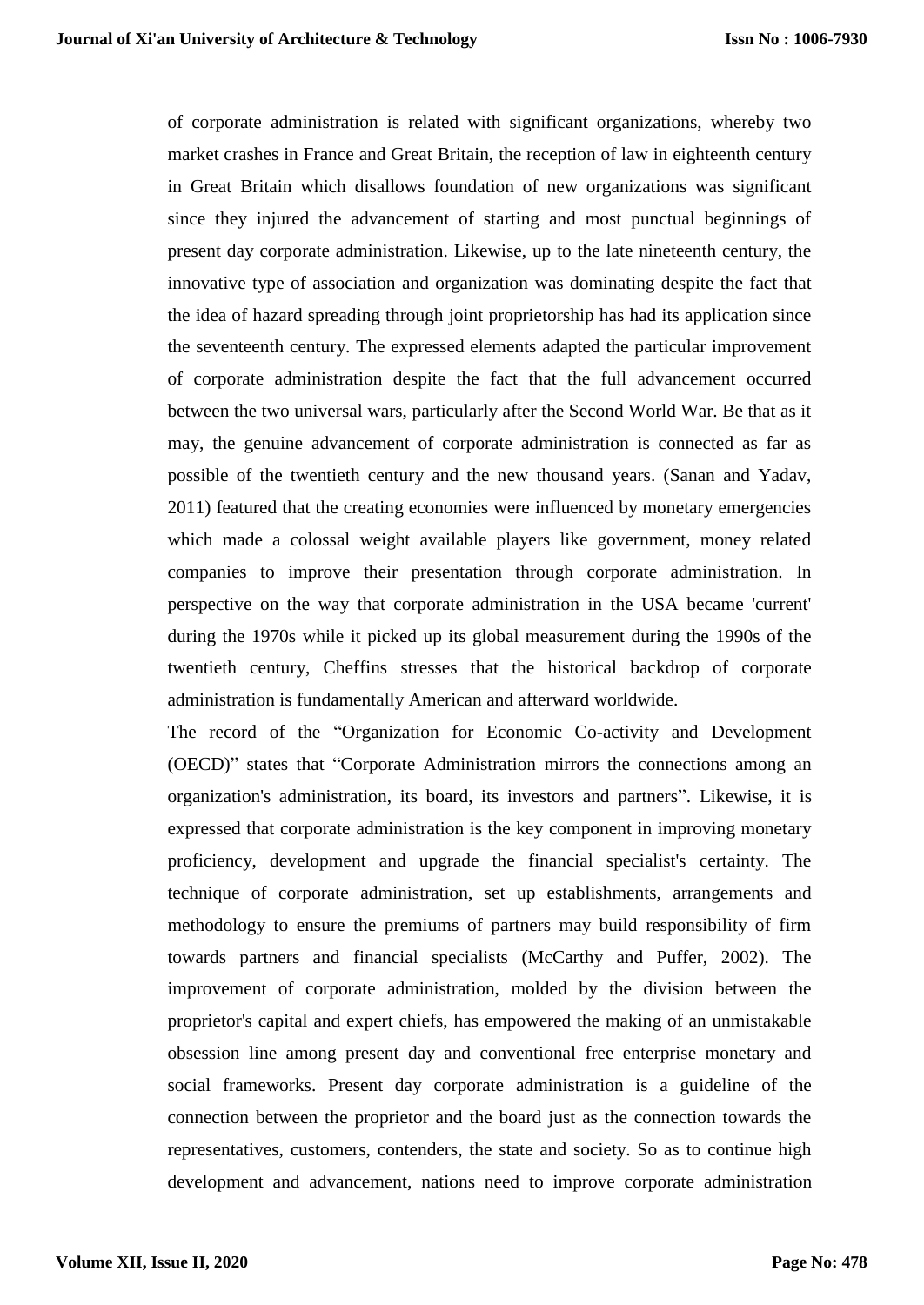of corporate administration is related with significant organizations, whereby two market crashes in France and Great Britain, the reception of law in eighteenth century in Great Britain which disallows foundation of new organizations was significant since they injured the advancement of starting and most punctual beginnings of present day corporate administration. Likewise, up to the late nineteenth century, the innovative type of association and organization was dominating despite the fact that the idea of hazard spreading through joint proprietorship has had its application since the seventeenth century. The expressed elements adapted the particular improvement of corporate administration despite the fact that the full advancement occurred between the two universal wars, particularly after the Second World War. Be that as it may, the genuine advancement of corporate administration is connected as far as possible of the twentieth century and the new thousand years. (Sanan and Yadav, 2011) featured that the creating economies were influenced by monetary emergencies which made a colossal weight available players like government, money related companies to improve their presentation through corporate administration. In perspective on the way that corporate administration in the USA became 'current' during the 1970s while it picked up its global measurement during the 1990s of the twentieth century, Cheffins stresses that the historical backdrop of corporate administration is fundamentally American and afterward worldwide.

The record of the "Organization for Economic Co-activity and Development (OECD)" states that "Corporate Administration mirrors the connections among an organization's administration, its board, its investors and partners". Likewise, it is expressed that corporate administration is the key component in improving monetary proficiency, development and upgrade the financial specialist's certainty. The technique of corporate administration, set up establishments, arrangements and methodology to ensure the premiums of partners may build responsibility of firm towards partners and financial specialists (McCarthy and Puffer, 2002). The improvement of corporate administration, molded by the division between the proprietor's capital and expert chiefs, has empowered the making of an unmistakable obsession line among present day and conventional free enterprise monetary and social frameworks. Present day corporate administration is a guideline of the connection between the proprietor and the board just as the connection towards the representatives, customers, contenders, the state and society. So as to continue high development and advancement, nations need to improve corporate administration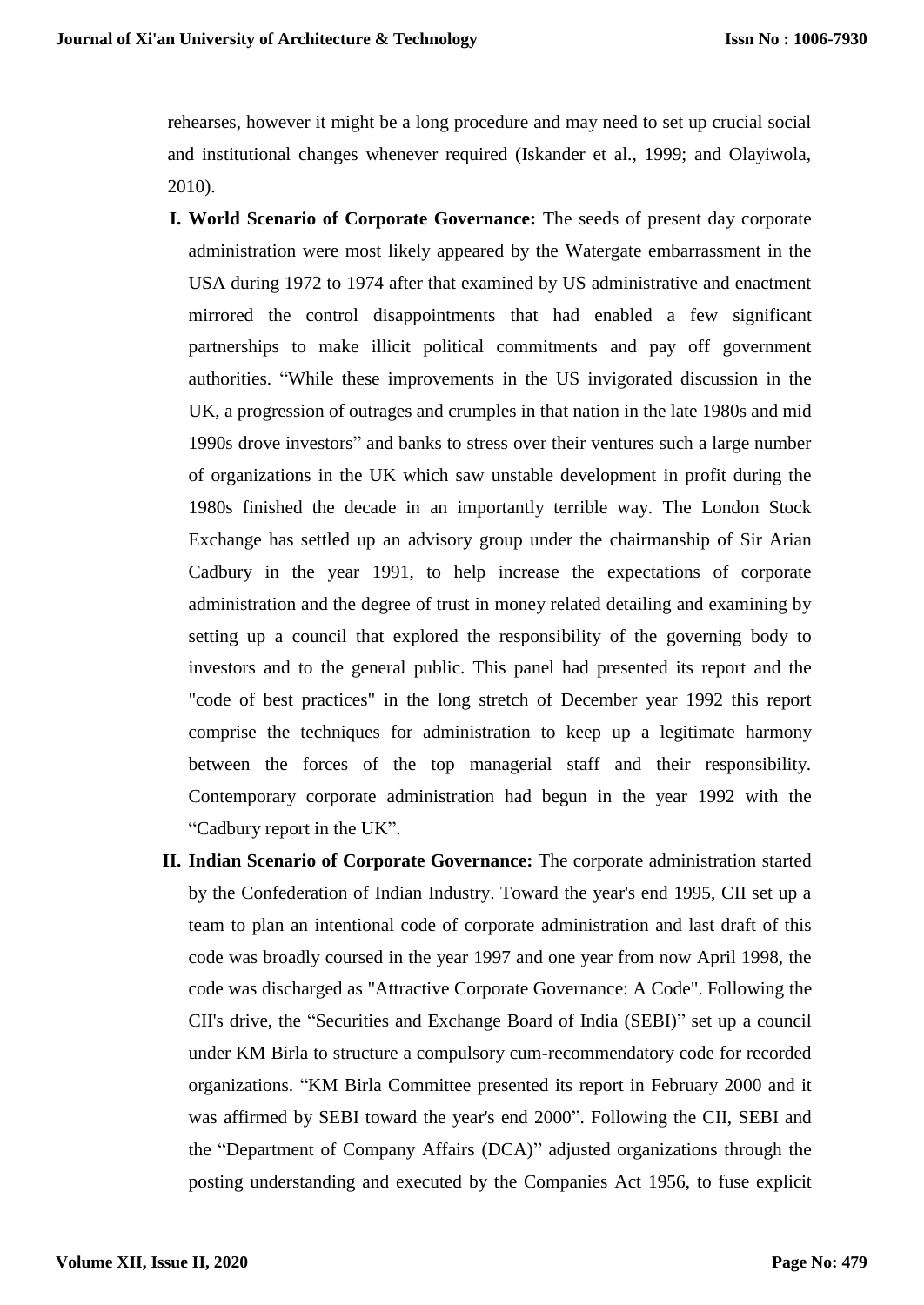rehearses, however it might be a long procedure and may need to set up crucial social and institutional changes whenever required (Iskander et al., 1999; and Olayiwola, 2010).

- **I. World Scenario of Corporate Governance:** The seeds of present day corporate administration were most likely appeared by the Watergate embarrassment in the USA during 1972 to 1974 after that examined by US administrative and enactment mirrored the control disappointments that had enabled a few significant partnerships to make illicit political commitments and pay off government authorities. "While these improvements in the US invigorated discussion in the UK, a progression of outrages and crumples in that nation in the late 1980s and mid 1990s drove investors" and banks to stress over their ventures such a large number of organizations in the UK which saw unstable development in profit during the 1980s finished the decade in an importantly terrible way. The London Stock Exchange has settled up an advisory group under the chairmanship of Sir Arian Cadbury in the year 1991, to help increase the expectations of corporate administration and the degree of trust in money related detailing and examining by setting up a council that explored the responsibility of the governing body to investors and to the general public. This panel had presented its report and the "code of best practices" in the long stretch of December year 1992 this report comprise the techniques for administration to keep up a legitimate harmony between the forces of the top managerial staff and their responsibility. Contemporary corporate administration had begun in the year 1992 with the "Cadbury report in the UK".
- **II. Indian Scenario of Corporate Governance:** The corporate administration started by the Confederation of Indian Industry. Toward the year's end 1995, CII set up a team to plan an intentional code of corporate administration and last draft of this code was broadly coursed in the year 1997 and one year from now April 1998, the code was discharged as "Attractive Corporate Governance: A Code". Following the CII's drive, the "Securities and Exchange Board of India (SEBI)" set up a council under KM Birla to structure a compulsory cum-recommendatory code for recorded organizations. "KM Birla Committee presented its report in February 2000 and it was affirmed by SEBI toward the year's end 2000". Following the CII, SEBI and the "Department of Company Affairs (DCA)" adjusted organizations through the posting understanding and executed by the Companies Act 1956, to fuse explicit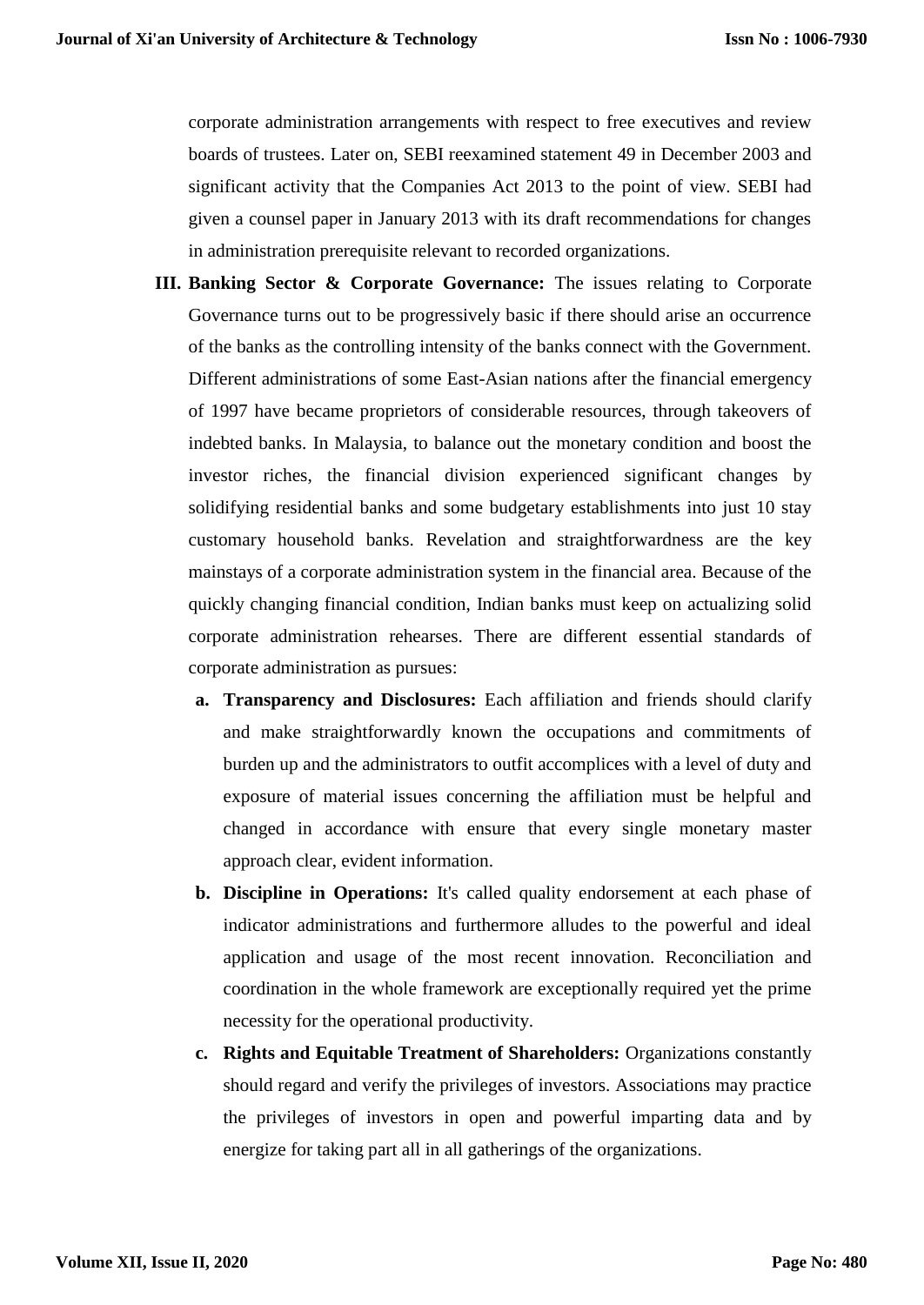corporate administration arrangements with respect to free executives and review boards of trustees. Later on, SEBI reexamined statement 49 in December 2003 and significant activity that the Companies Act 2013 to the point of view. SEBI had given a counsel paper in January 2013 with its draft recommendations for changes in administration prerequisite relevant to recorded organizations.

- **III. Banking Sector & Corporate Governance:** The issues relating to Corporate Governance turns out to be progressively basic if there should arise an occurrence of the banks as the controlling intensity of the banks connect with the Government. Different administrations of some East-Asian nations after the financial emergency of 1997 have became proprietors of considerable resources, through takeovers of indebted banks. In Malaysia, to balance out the monetary condition and boost the investor riches, the financial division experienced significant changes by solidifying residential banks and some budgetary establishments into just 10 stay customary household banks. Revelation and straightforwardness are the key mainstays of a corporate administration system in the financial area. Because of the quickly changing financial condition, Indian banks must keep on actualizing solid corporate administration rehearses. There are different essential standards of corporate administration as pursues:
	- **a. Transparency and Disclosures:** Each affiliation and friends should clarify and make straightforwardly known the occupations and commitments of burden up and the administrators to outfit accomplices with a level of duty and exposure of material issues concerning the affiliation must be helpful and changed in accordance with ensure that every single monetary master approach clear, evident information.
	- **b. Discipline in Operations:** It's called quality endorsement at each phase of indicator administrations and furthermore alludes to the powerful and ideal application and usage of the most recent innovation. Reconciliation and coordination in the whole framework are exceptionally required yet the prime necessity for the operational productivity.
	- **c. Rights and Equitable Treatment of Shareholders:** Organizations constantly should regard and verify the privileges of investors. Associations may practice the privileges of investors in open and powerful imparting data and by energize for taking part all in all gatherings of the organizations.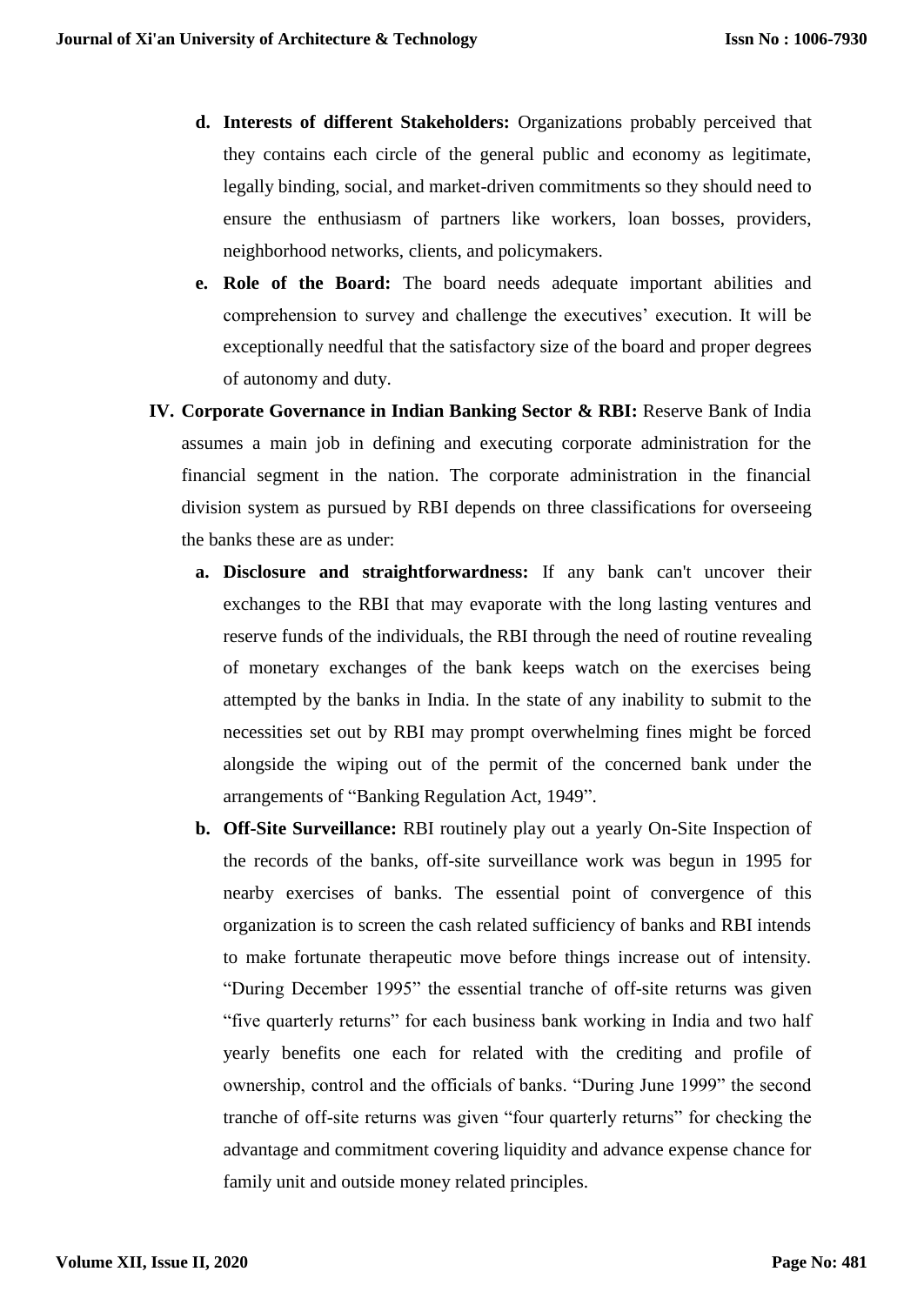- **d. Interests of different Stakeholders:** Organizations probably perceived that they contains each circle of the general public and economy as legitimate, legally binding, social, and market-driven commitments so they should need to ensure the enthusiasm of partners like workers, loan bosses, providers, neighborhood networks, clients, and policymakers.
- **e. Role of the Board:** The board needs adequate important abilities and comprehension to survey and challenge the executives' execution. It will be exceptionally needful that the satisfactory size of the board and proper degrees of autonomy and duty.
- **IV. Corporate Governance in Indian Banking Sector & RBI:** Reserve Bank of India assumes a main job in defining and executing corporate administration for the financial segment in the nation. The corporate administration in the financial division system as pursued by RBI depends on three classifications for overseeing the banks these are as under:
	- **a. Disclosure and straightforwardness:** If any bank can't uncover their exchanges to the RBI that may evaporate with the long lasting ventures and reserve funds of the individuals, the RBI through the need of routine revealing of monetary exchanges of the bank keeps watch on the exercises being attempted by the banks in India. In the state of any inability to submit to the necessities set out by RBI may prompt overwhelming fines might be forced alongside the wiping out of the permit of the concerned bank under the arrangements of "Banking Regulation Act, 1949".
	- **b. Off-Site Surveillance:** RBI routinely play out a yearly On-Site Inspection of the records of the banks, off-site surveillance work was begun in 1995 for nearby exercises of banks. The essential point of convergence of this organization is to screen the cash related sufficiency of banks and RBI intends to make fortunate therapeutic move before things increase out of intensity. "During December 1995" the essential tranche of off-site returns was given "five quarterly returns" for each business bank working in India and two half yearly benefits one each for related with the crediting and profile of ownership, control and the officials of banks. "During June 1999" the second tranche of off-site returns was given "four quarterly returns" for checking the advantage and commitment covering liquidity and advance expense chance for family unit and outside money related principles.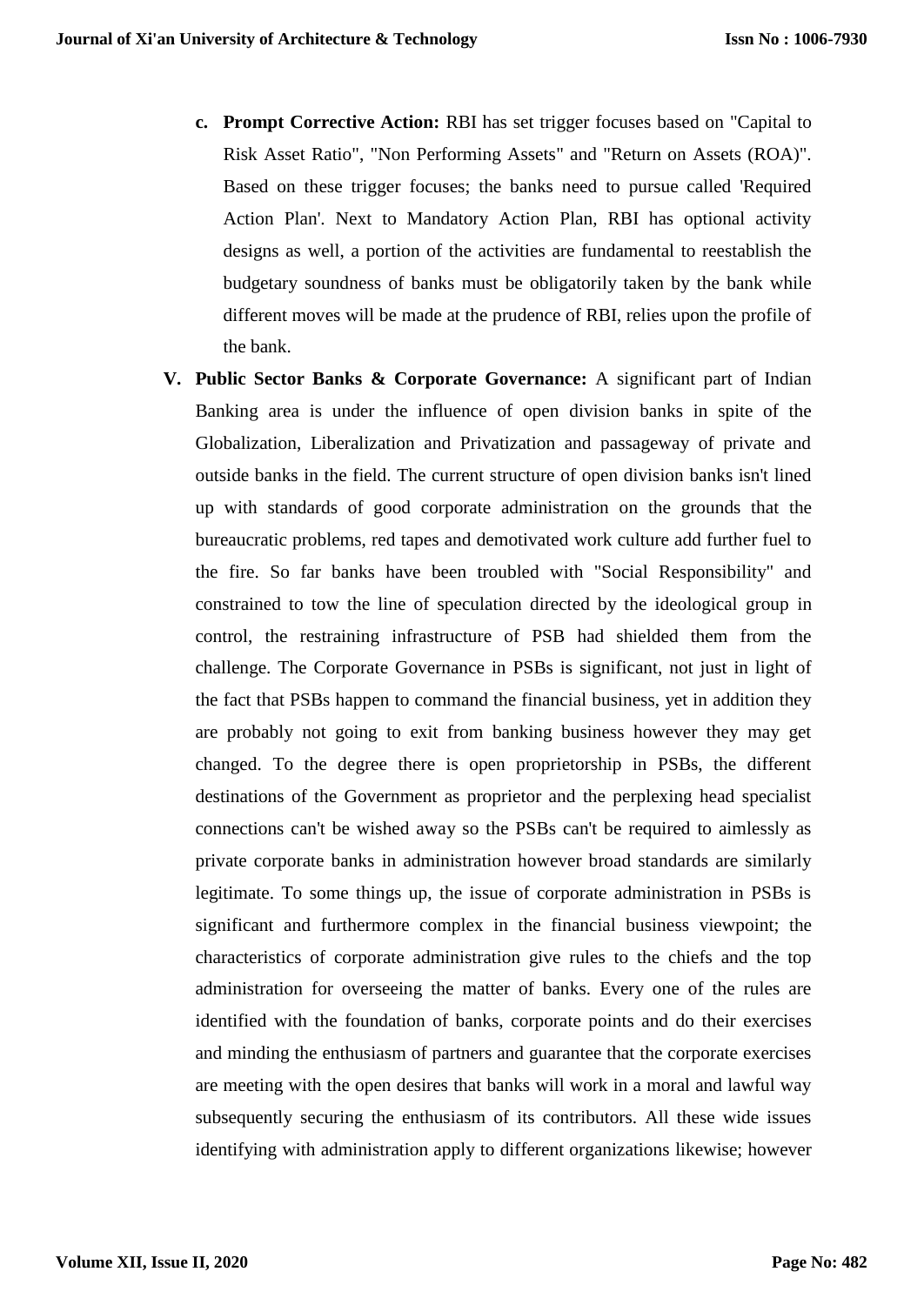- **c. Prompt Corrective Action:** RBI has set trigger focuses based on "Capital to Risk Asset Ratio", "Non Performing Assets" and "Return on Assets (ROA)". Based on these trigger focuses; the banks need to pursue called 'Required Action Plan'. Next to Mandatory Action Plan, RBI has optional activity designs as well, a portion of the activities are fundamental to reestablish the budgetary soundness of banks must be obligatorily taken by the bank while different moves will be made at the prudence of RBI, relies upon the profile of the bank.
- **V. Public Sector Banks & Corporate Governance:** A significant part of Indian Banking area is under the influence of open division banks in spite of the Globalization, Liberalization and Privatization and passageway of private and outside banks in the field. The current structure of open division banks isn't lined up with standards of good corporate administration on the grounds that the bureaucratic problems, red tapes and demotivated work culture add further fuel to the fire. So far banks have been troubled with "Social Responsibility" and constrained to tow the line of speculation directed by the ideological group in control, the restraining infrastructure of PSB had shielded them from the challenge. The Corporate Governance in PSBs is significant, not just in light of the fact that PSBs happen to command the financial business, yet in addition they are probably not going to exit from banking business however they may get changed. To the degree there is open proprietorship in PSBs, the different destinations of the Government as proprietor and the perplexing head specialist connections can't be wished away so the PSBs can't be required to aimlessly as private corporate banks in administration however broad standards are similarly legitimate. To some things up, the issue of corporate administration in PSBs is significant and furthermore complex in the financial business viewpoint; the characteristics of corporate administration give rules to the chiefs and the top administration for overseeing the matter of banks. Every one of the rules are identified with the foundation of banks, corporate points and do their exercises and minding the enthusiasm of partners and guarantee that the corporate exercises are meeting with the open desires that banks will work in a moral and lawful way subsequently securing the enthusiasm of its contributors. All these wide issues identifying with administration apply to different organizations likewise; however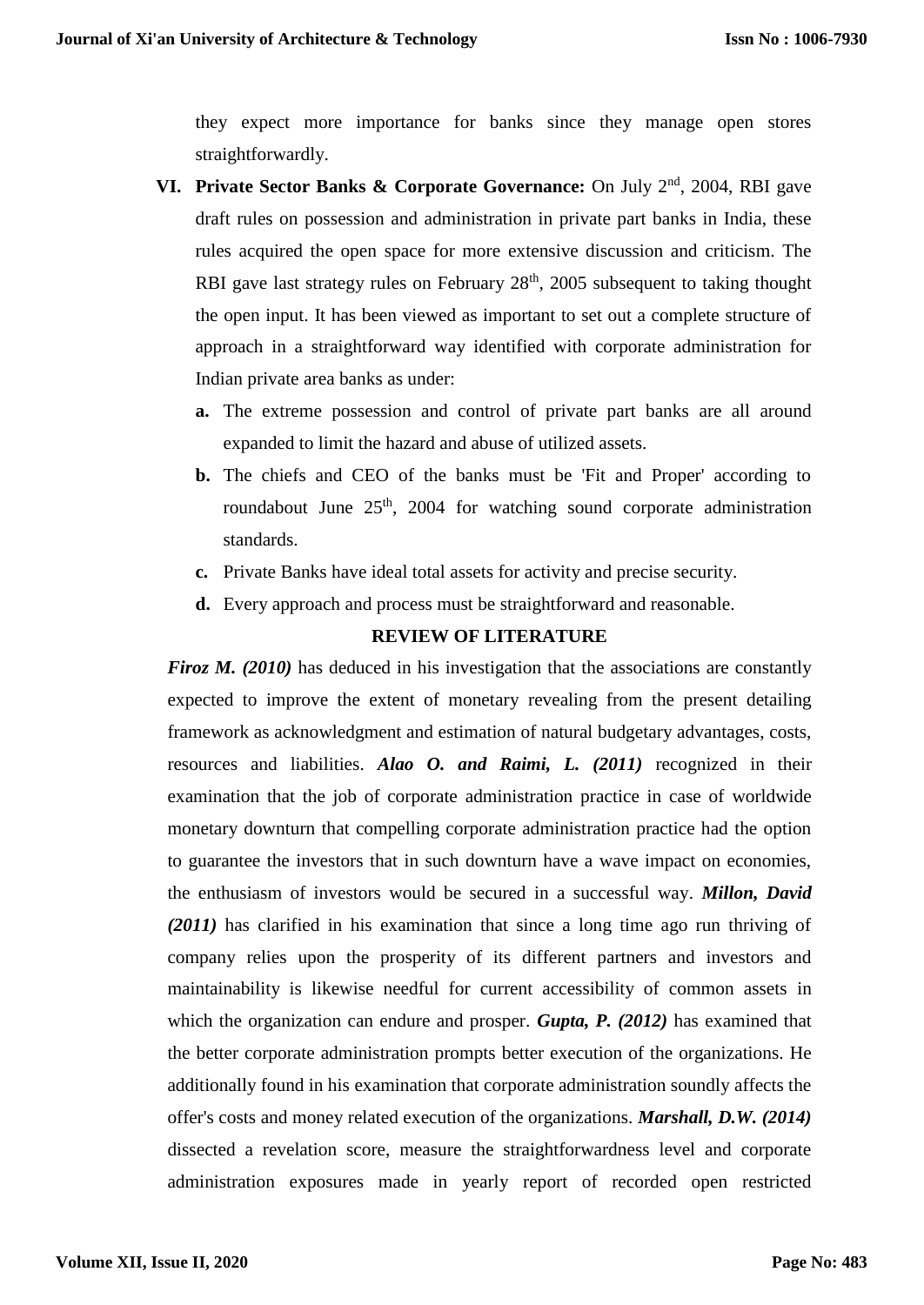they expect more importance for banks since they manage open stores straightforwardly.

- **VI.** Private Sector Banks & Corporate Governance: On July 2<sup>nd</sup>, 2004, RBI gave draft rules on possession and administration in private part banks in India, these rules acquired the open space for more extensive discussion and criticism. The RBI gave last strategy rules on February  $28<sup>th</sup>$ ,  $2005$  subsequent to taking thought the open input. It has been viewed as important to set out a complete structure of approach in a straightforward way identified with corporate administration for Indian private area banks as under:
	- **a.** The extreme possession and control of private part banks are all around expanded to limit the hazard and abuse of utilized assets.
	- **b.** The chiefs and CEO of the banks must be 'Fit and Proper' according to roundabout June  $25<sup>th</sup>$ , 2004 for watching sound corporate administration standards.
	- **c.** Private Banks have ideal total assets for activity and precise security.
	- **d.** Every approach and process must be straightforward and reasonable.

# **REVIEW OF LITERATURE**

*Firoz M. (2010)* has deduced in his investigation that the associations are constantly expected to improve the extent of monetary revealing from the present detailing framework as acknowledgment and estimation of natural budgetary advantages, costs, resources and liabilities. *Alao O. and Raimi, L. (2011)* recognized in their examination that the job of corporate administration practice in case of worldwide monetary downturn that compelling corporate administration practice had the option to guarantee the investors that in such downturn have a wave impact on economies, the enthusiasm of investors would be secured in a successful way. *Millon, David (2011)* has clarified in his examination that since a long time ago run thriving of company relies upon the prosperity of its different partners and investors and maintainability is likewise needful for current accessibility of common assets in which the organization can endure and prosper. *Gupta, P. (2012)* has examined that the better corporate administration prompts better execution of the organizations. He additionally found in his examination that corporate administration soundly affects the offer's costs and money related execution of the organizations. *Marshall, D.W. (2014)* dissected a revelation score, measure the straightforwardness level and corporate administration exposures made in yearly report of recorded open restricted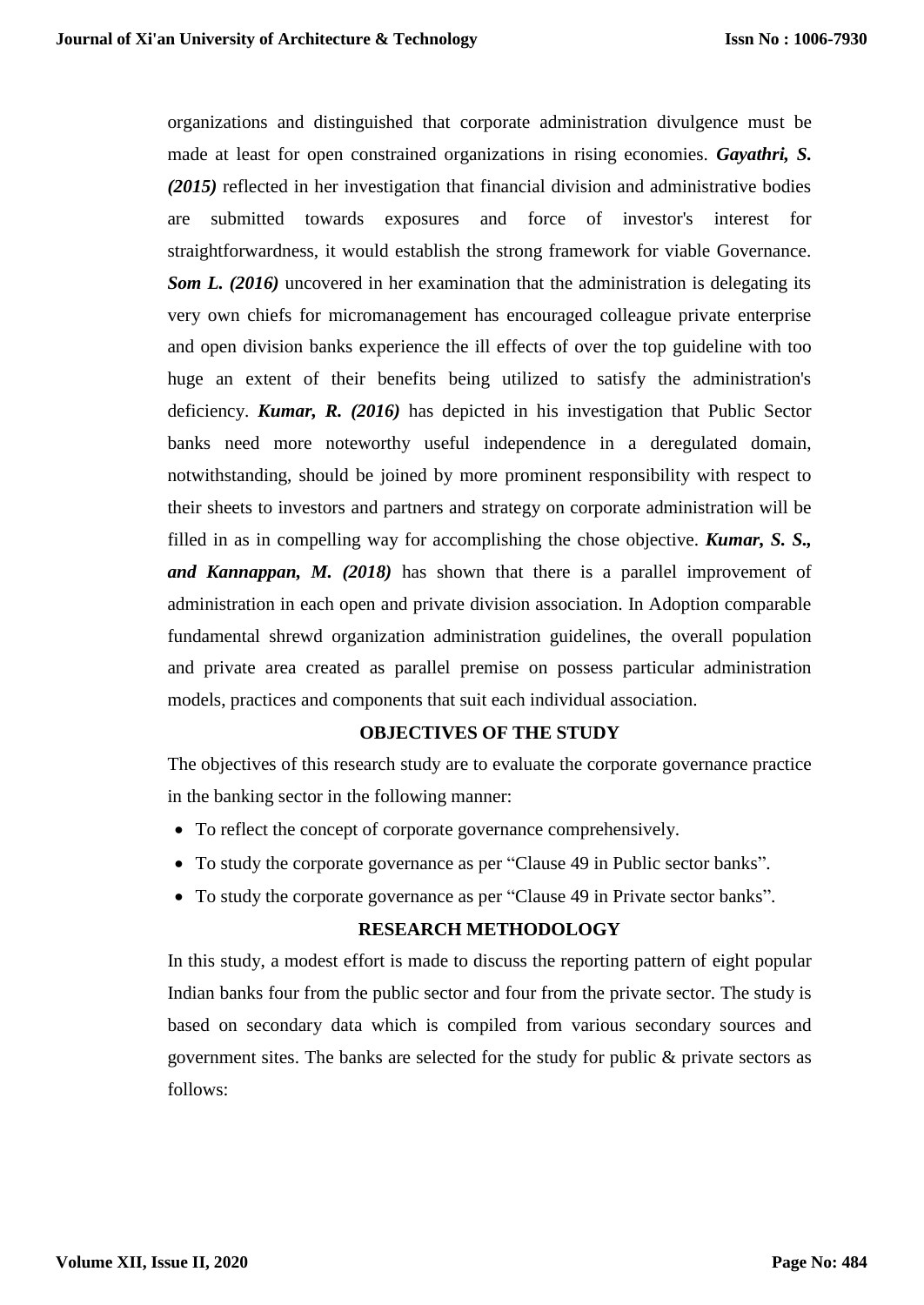organizations and distinguished that corporate administration divulgence must be made at least for open constrained organizations in rising economies. *Gayathri, S. (2015)* reflected in her investigation that financial division and administrative bodies are submitted towards exposures and force of investor's interest for straightforwardness, it would establish the strong framework for viable Governance. *Som L. (2016)* uncovered in her examination that the administration is delegating its very own chiefs for micromanagement has encouraged colleague private enterprise and open division banks experience the ill effects of over the top guideline with too huge an extent of their benefits being utilized to satisfy the administration's deficiency. *Kumar, R. (2016)* has depicted in his investigation that Public Sector banks need more noteworthy useful independence in a deregulated domain, notwithstanding, should be joined by more prominent responsibility with respect to their sheets to investors and partners and strategy on corporate administration will be filled in as in compelling way for accomplishing the chose objective. *Kumar, S. S., and Kannappan, M. (2018)* has shown that there is a parallel improvement of administration in each open and private division association. In Adoption comparable fundamental shrewd organization administration guidelines, the overall population and private area created as parallel premise on possess particular administration models, practices and components that suit each individual association.

# **OBJECTIVES OF THE STUDY**

The objectives of this research study are to evaluate the corporate governance practice in the banking sector in the following manner:

- To reflect the concept of corporate governance comprehensively.
- To study the corporate governance as per "Clause 49 in Public sector banks".
- To study the corporate governance as per "Clause 49 in Private sector banks".

# **RESEARCH METHODOLOGY**

In this study, a modest effort is made to discuss the reporting pattern of eight popular Indian banks four from the public sector and four from the private sector. The study is based on secondary data which is compiled from various secondary sources and government sites. The banks are selected for the study for public & private sectors as follows: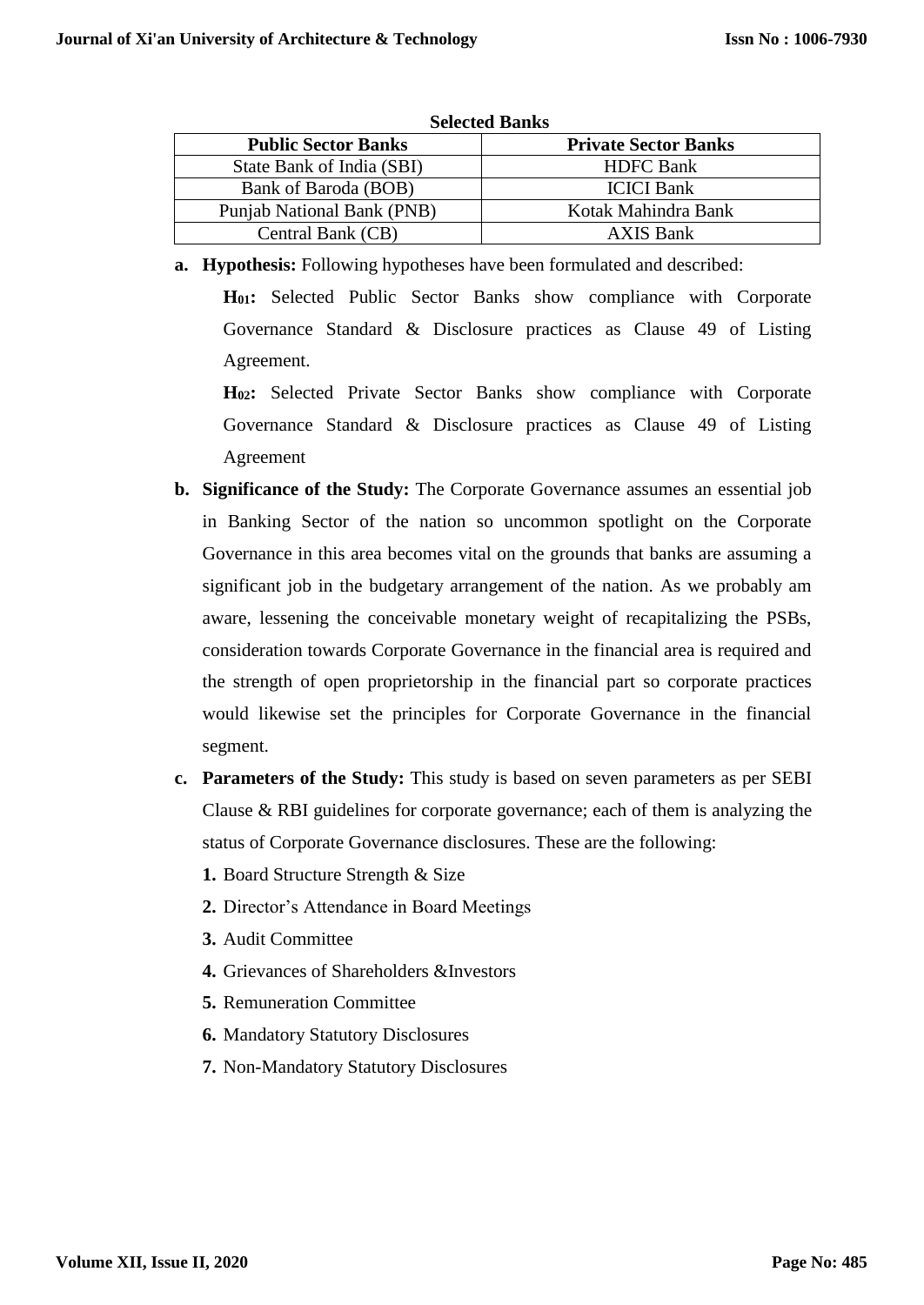| Selected Banks             |                             |  |  |  |
|----------------------------|-----------------------------|--|--|--|
| <b>Public Sector Banks</b> | <b>Private Sector Banks</b> |  |  |  |
| State Bank of India (SBI)  | <b>HDFC</b> Bank            |  |  |  |
| Bank of Baroda (BOB)       | <b>ICICI</b> Bank           |  |  |  |
| Punjab National Bank (PNB) | Kotak Mahindra Bank         |  |  |  |
| Central Bank (CB)          | <b>AXIS Bank</b>            |  |  |  |

- **Selected Banks**
- **a. Hypothesis:** Following hypotheses have been formulated and described:

**H01:** Selected Public Sector Banks show compliance with Corporate Governance Standard & Disclosure practices as Clause 49 of Listing Agreement.

**H02:** Selected Private Sector Banks show compliance with Corporate Governance Standard & Disclosure practices as Clause 49 of Listing Agreement

- **b. Significance of the Study:** The Corporate Governance assumes an essential job in Banking Sector of the nation so uncommon spotlight on the Corporate Governance in this area becomes vital on the grounds that banks are assuming a significant job in the budgetary arrangement of the nation. As we probably am aware, lessening the conceivable monetary weight of recapitalizing the PSBs, consideration towards Corporate Governance in the financial area is required and the strength of open proprietorship in the financial part so corporate practices would likewise set the principles for Corporate Governance in the financial segment.
- **c. Parameters of the Study:** This study is based on seven parameters as per SEBI Clause & RBI guidelines for corporate governance; each of them is analyzing the status of Corporate Governance disclosures. These are the following:
	- **1.** Board Structure Strength & Size
	- **2.** Director's Attendance in Board Meetings
	- **3.** Audit Committee
	- **4.** Grievances of Shareholders &Investors
	- **5.** Remuneration Committee
	- **6.** Mandatory Statutory Disclosures
	- **7.** Non-Mandatory Statutory Disclosures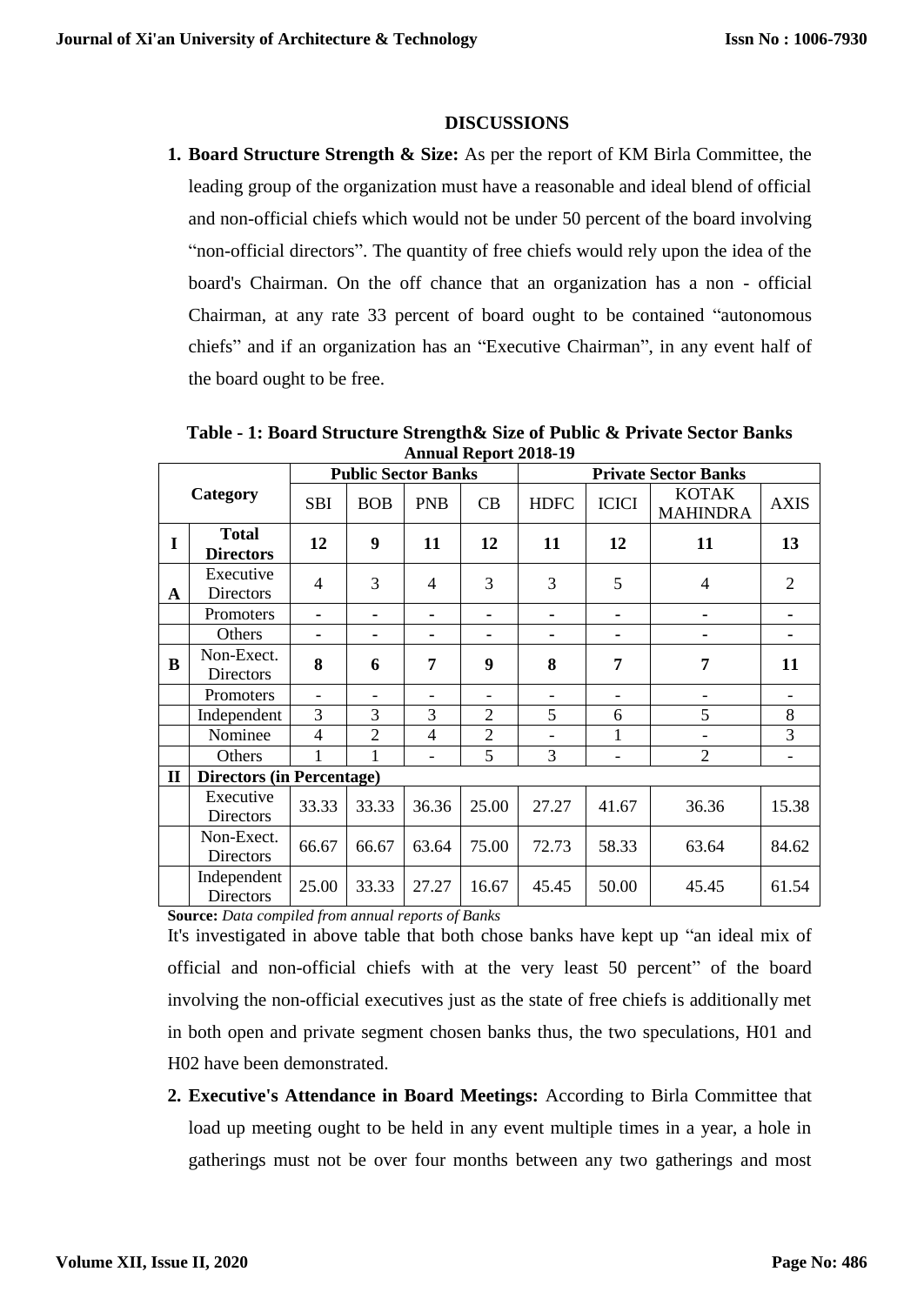## **DISCUSSIONS**

**1. Board Structure Strength & Size:** As per the report of KM Birla Committee, the leading group of the organization must have a reasonable and ideal blend of official and non-official chiefs which would not be under 50 percent of the board involving "non-official directors". The quantity of free chiefs would rely upon the idea of the board's Chairman. On the off chance that an organization has a non - official Chairman, at any rate 33 percent of board ought to be contained "autonomous chiefs" and if an organization has an "Executive Chairman", in any event half of the board ought to be free.

**Table - 1: Board Structure Strength& Size of Public & Private Sector Banks Annual Report 2018-19**

|              |                                  |                          |                          | <b>Public Sector Banks</b> |                |                              |                                                 | <b>Private Sector Banks</b> |             |
|--------------|----------------------------------|--------------------------|--------------------------|----------------------------|----------------|------------------------------|-------------------------------------------------|-----------------------------|-------------|
|              | Category                         | <b>SBI</b>               | <b>BOB</b>               | <b>PNB</b>                 | CB             | <b>HDFC</b>                  | <b>KOTAK</b><br><b>ICICI</b><br><b>MAHINDRA</b> |                             | <b>AXIS</b> |
| 1            | <b>Total</b><br><b>Directors</b> | 12                       | 9                        | 11                         | 12             | 11                           | 12                                              | 11                          | 13          |
| A            | Executive<br>Directors           | 4                        | 3                        | 4                          | 3              | 3                            | 5                                               | 4                           | 2           |
|              | Promoters                        |                          |                          |                            |                |                              |                                                 |                             |             |
|              | Others                           |                          | ۰                        |                            |                | ۰                            |                                                 |                             |             |
| B            | Non-Exect.<br><b>Directors</b>   | 8                        | 6                        | 7                          | 9              | 8                            | 7                                               | 7                           | 11          |
|              | Promoters                        | $\overline{\phantom{a}}$ | $\overline{\phantom{a}}$ | $\overline{\phantom{0}}$   | ۰              | $\overline{\phantom{a}}$     |                                                 |                             |             |
|              | Independent                      | 3                        | 3                        | 3                          | $\overline{2}$ | 5                            | 6                                               | 5                           | 8           |
|              | Nominee                          | $\overline{4}$           | $\overline{2}$           | $\overline{4}$             | $\overline{2}$ | $\qquad \qquad \blacksquare$ | 1                                               |                             | 3           |
|              | Others                           | 1                        | 1                        |                            | 5              | 3                            |                                                 | $\overline{2}$              |             |
| $\mathbf{I}$ | <b>Directors (in Percentage)</b> |                          |                          |                            |                |                              |                                                 |                             |             |
|              | Executive<br>Directors           | 33.33                    | 33.33                    | 36.36                      | 25.00          | 27.27                        | 41.67                                           | 36.36                       | 15.38       |
|              | Non-Exect.<br><b>Directors</b>   | 66.67                    | 66.67                    | 63.64                      | 75.00          | 72.73                        | 58.33                                           | 63.64                       | 84.62       |
|              | Independent<br><b>Directors</b>  | 25.00                    | 33.33                    | 27.27                      | 16.67          | 45.45                        | 50.00                                           | 45.45                       | 61.54       |

**Source:** *Data compiled from annual reports of Banks*

It's investigated in above table that both chose banks have kept up "an ideal mix of official and non-official chiefs with at the very least 50 percent" of the board involving the non-official executives just as the state of free chiefs is additionally met in both open and private segment chosen banks thus, the two speculations, H01 and H02 have been demonstrated.

**2. Executive's Attendance in Board Meetings:** According to Birla Committee that load up meeting ought to be held in any event multiple times in a year, a hole in gatherings must not be over four months between any two gatherings and most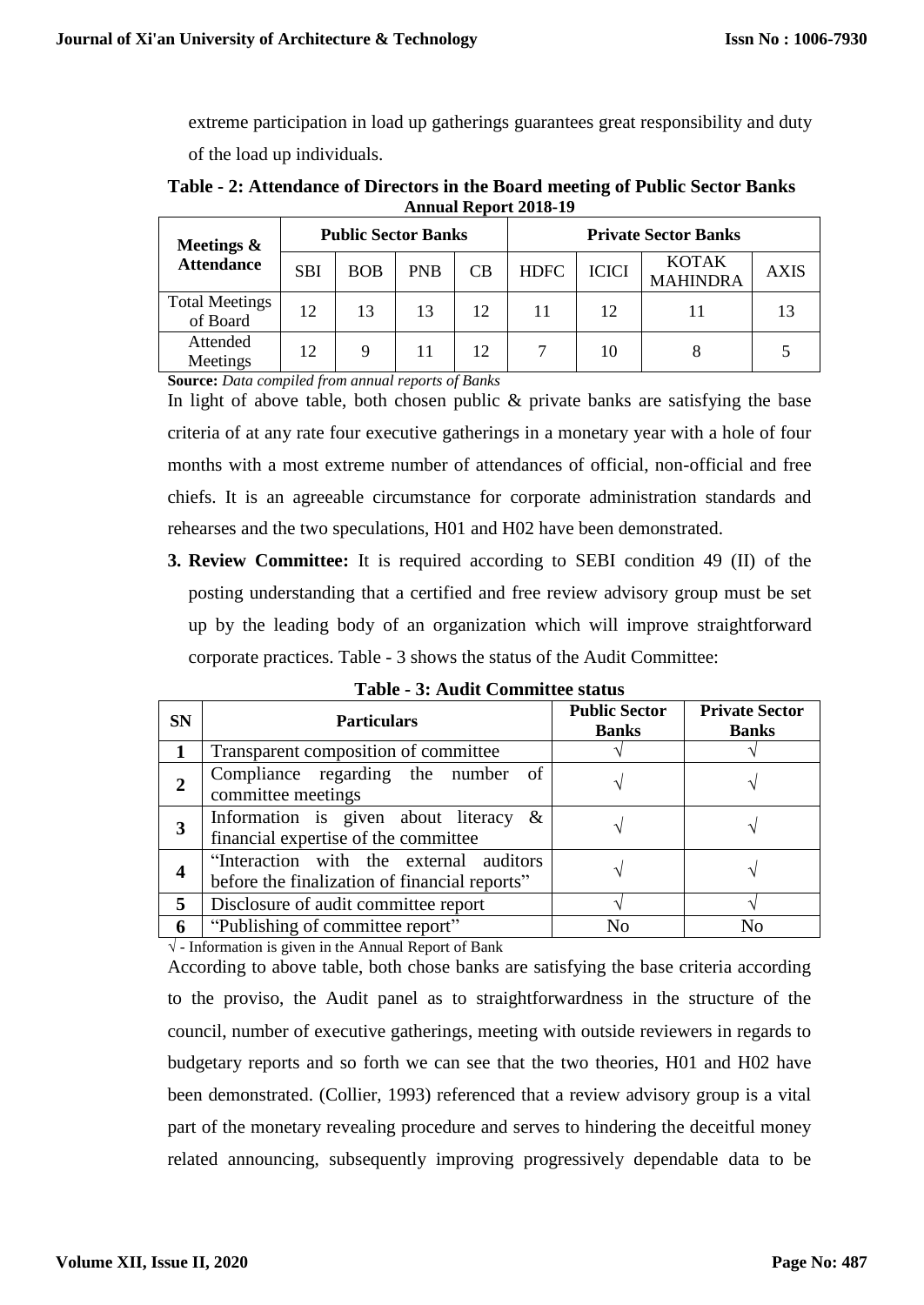extreme participation in load up gatherings guarantees great responsibility and duty of the load up individuals.

| Table - 2: Attendance of Directors in the Board meeting of Public Sector Banks |  |
|--------------------------------------------------------------------------------|--|
| <b>Annual Report 2018-19</b>                                                   |  |
|                                                                                |  |

| Meetings $\&$                     | <b>Public Sector Banks</b> |            |            |    | <b>Private Sector Banks</b> |              |                                 |             |
|-----------------------------------|----------------------------|------------|------------|----|-----------------------------|--------------|---------------------------------|-------------|
| <b>Attendance</b>                 | <b>SBI</b>                 | <b>BOB</b> | <b>PNB</b> | CB | <b>HDFC</b>                 | <b>ICICI</b> | <b>KOTAK</b><br><b>MAHINDRA</b> | <b>AXIS</b> |
| <b>Total Meetings</b><br>of Board | 12                         | 13         | 13         | 12 | 11                          | 12           |                                 |             |
| Attended<br>Meetings              | 12                         |            |            | 12 |                             | 10           |                                 |             |

**Source:** *Data compiled from annual reports of Banks*

In light of above table, both chosen public  $\&$  private banks are satisfying the base criteria of at any rate four executive gatherings in a monetary year with a hole of four months with a most extreme number of attendances of official, non-official and free chiefs. It is an agreeable circumstance for corporate administration standards and rehearses and the two speculations, H01 and H02 have been demonstrated.

**3. Review Committee:** It is required according to SEBI condition 49 (II) of the posting understanding that a certified and free review advisory group must be set up by the leading body of an organization which will improve straightforward corporate practices. Table - 3 shows the status of the Audit Committee:

| <b>SN</b> | <b>Particulars</b>                                                                        | <b>Public Sector</b><br><b>Banks</b> | <b>Private Sector</b><br><b>Banks</b> |
|-----------|-------------------------------------------------------------------------------------------|--------------------------------------|---------------------------------------|
|           | Transparent composition of committee                                                      |                                      |                                       |
| 2         | Compliance regarding the number of<br>committee meetings                                  |                                      |                                       |
| 3         | Information is given about literacy $\&$<br>financial expertise of the committee          |                                      |                                       |
| 4         | "Interaction with the external auditors"<br>before the finalization of financial reports" |                                      |                                       |
| 5         | Disclosure of audit committee report                                                      |                                      |                                       |
| 6         | "Publishing of committee report"                                                          | Nο                                   |                                       |

**Table - 3: Audit Committee status**

**√** - Information is given in the Annual Report of Bank

According to above table, both chose banks are satisfying the base criteria according to the proviso, the Audit panel as to straightforwardness in the structure of the council, number of executive gatherings, meeting with outside reviewers in regards to budgetary reports and so forth we can see that the two theories, H01 and H02 have been demonstrated. (Collier, 1993) referenced that a review advisory group is a vital part of the monetary revealing procedure and serves to hindering the deceitful money related announcing, subsequently improving progressively dependable data to be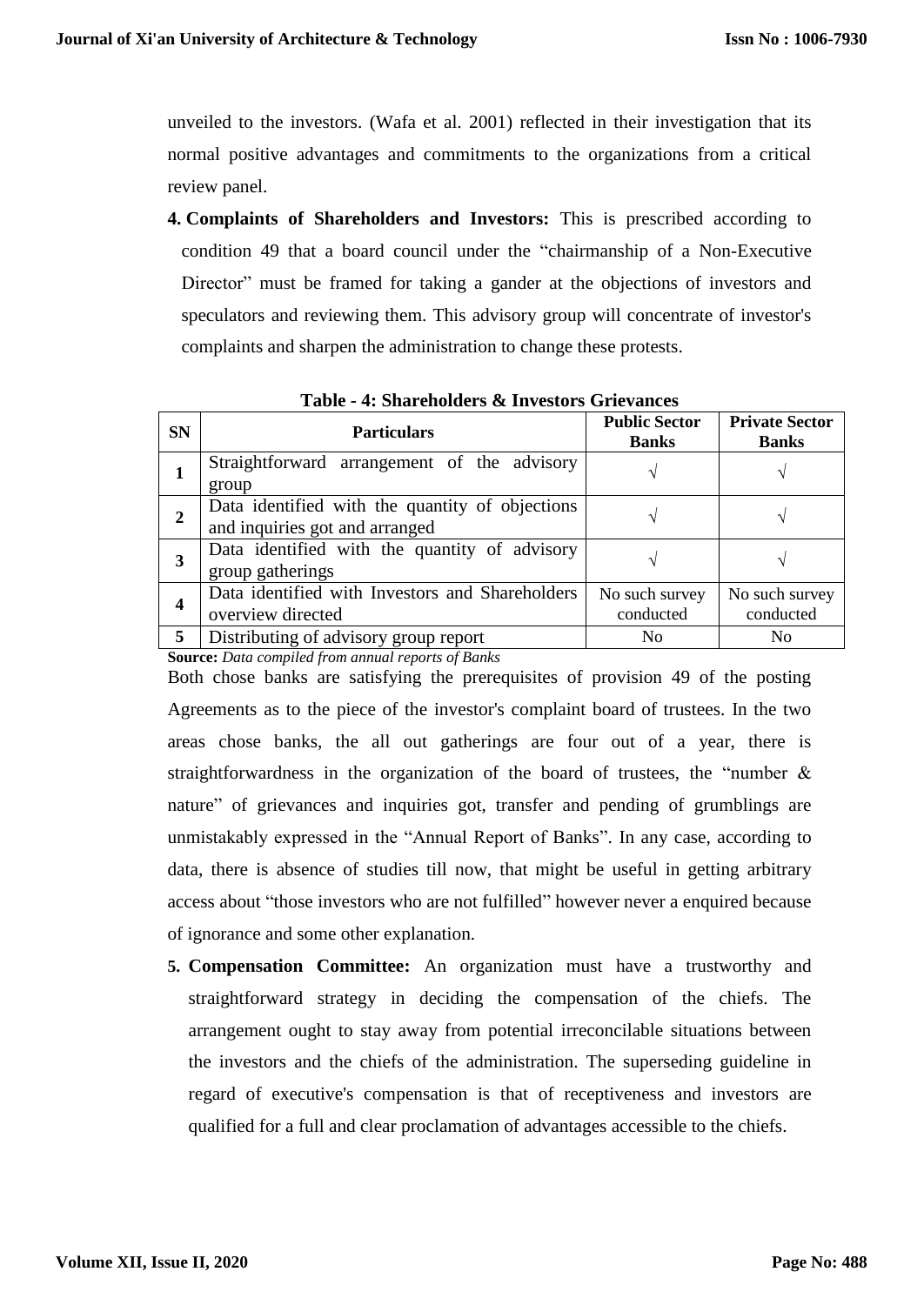unveiled to the investors. (Wafa et al. 2001) reflected in their investigation that its normal positive advantages and commitments to the organizations from a critical review panel.

**4. Complaints of Shareholders and Investors:** This is prescribed according to condition 49 that a board council under the "chairmanship of a Non-Executive Director" must be framed for taking a gander at the objections of investors and speculators and reviewing them. This advisory group will concentrate of investor's complaints and sharpen the administration to change these protests.

| <b>SN</b>        | <b>Particulars</b>                                                                | <b>Public Sector</b><br><b>Banks</b> | <b>Private Sector</b><br><b>Banks</b> |
|------------------|-----------------------------------------------------------------------------------|--------------------------------------|---------------------------------------|
|                  | Straightforward arrangement of the advisory<br>group                              |                                      |                                       |
| 2                | Data identified with the quantity of objections<br>and inquiries got and arranged |                                      |                                       |
| 3                | Data identified with the quantity of advisory<br>group gatherings                 |                                      |                                       |
| $\boldsymbol{4}$ | Data identified with Investors and Shareholders<br>overview directed              | No such survey<br>conducted          | No such survey<br>conducted           |
| 5                | Distributing of advisory group report                                             | N <sub>0</sub>                       | N <sub>0</sub>                        |

**Table - 4: Shareholders & Investors Grievances**

**Source:** *Data compiled from annual reports of Banks*

Both chose banks are satisfying the prerequisites of provision 49 of the posting Agreements as to the piece of the investor's complaint board of trustees. In the two areas chose banks, the all out gatherings are four out of a year, there is straightforwardness in the organization of the board of trustees, the "number  $\&$ nature" of grievances and inquiries got, transfer and pending of grumblings are unmistakably expressed in the "Annual Report of Banks". In any case, according to data, there is absence of studies till now, that might be useful in getting arbitrary access about "those investors who are not fulfilled" however never a enquired because of ignorance and some other explanation.

**5. Compensation Committee:** An organization must have a trustworthy and straightforward strategy in deciding the compensation of the chiefs. The arrangement ought to stay away from potential irreconcilable situations between the investors and the chiefs of the administration. The superseding guideline in regard of executive's compensation is that of receptiveness and investors are qualified for a full and clear proclamation of advantages accessible to the chiefs.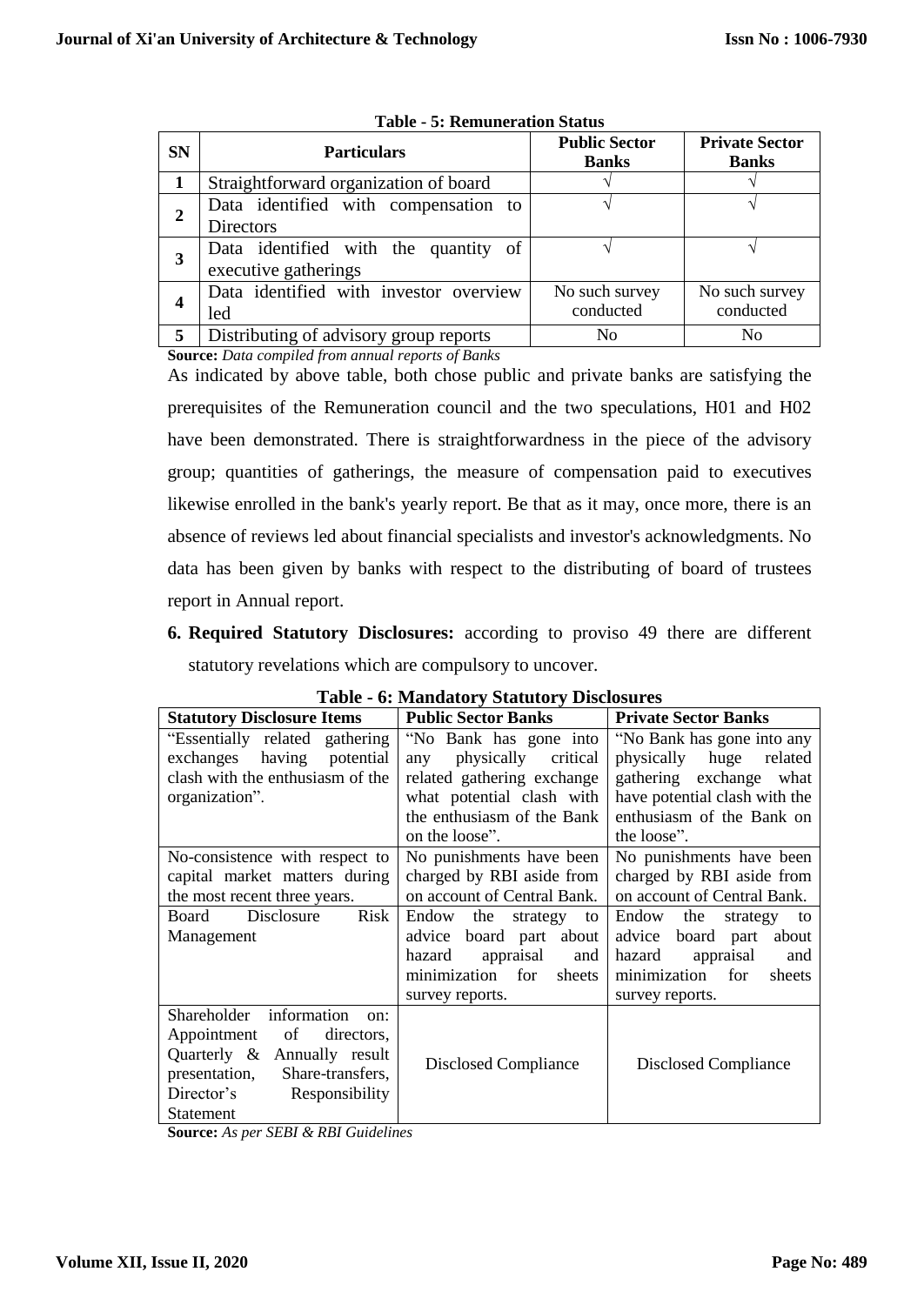| <b>SN</b>      | <b>Particulars</b>                                           | <b>Public Sector</b><br><b>Banks</b> | <b>Private Sector</b><br><b>Banks</b> |
|----------------|--------------------------------------------------------------|--------------------------------------|---------------------------------------|
|                | Straightforward organization of board                        |                                      |                                       |
| $\overline{2}$ | Data identified with compensation to<br><b>Directors</b>     |                                      |                                       |
| 3              | Data identified with the quantity of<br>executive gatherings |                                      |                                       |
| 4              | Data identified with investor overview<br>led                | No such survey<br>conducted          | No such survey<br>conducted           |
| 5              | Distributing of advisory group reports                       | N <sub>0</sub>                       | N <sub>0</sub>                        |

**Table - 5: Remuneration Status**

**Source:** *Data compiled from annual reports of Banks*

As indicated by above table, both chose public and private banks are satisfying the prerequisites of the Remuneration council and the two speculations, H01 and H02 have been demonstrated. There is straightforwardness in the piece of the advisory group; quantities of gatherings, the measure of compensation paid to executives likewise enrolled in the bank's yearly report. Be that as it may, once more, there is an absence of reviews led about financial specialists and investor's acknowledgments. No data has been given by banks with respect to the distributing of board of trustees report in Annual report.

**6. Required Statutory Disclosures:** according to proviso 49 there are different statutory revelations which are compulsory to uncover.

| Table - 0. Manuatury Statutury Disclosures |                                                            |                                |  |  |  |  |
|--------------------------------------------|------------------------------------------------------------|--------------------------------|--|--|--|--|
| <b>Statutory Disclosure Items</b>          | <b>Public Sector Banks</b><br><b>Private Sector Banks</b>  |                                |  |  |  |  |
| "Essentially related gathering             | "No Bank has gone into                                     | "No Bank has gone into any     |  |  |  |  |
| exchanges<br>having potential              | physically critical<br>any                                 | physically huge<br>related     |  |  |  |  |
| clash with the enthusiasm of the           | related gathering exchange                                 | gathering exchange what        |  |  |  |  |
| organization".                             | what potential clash with                                  | have potential clash with the  |  |  |  |  |
|                                            | the enthusiasm of the Bank                                 | enthusiasm of the Bank on      |  |  |  |  |
|                                            | on the loose".                                             | the loose".                    |  |  |  |  |
| No-consistence with respect to             | No punishments have been                                   | No punishments have been       |  |  |  |  |
| capital market matters during              | charged by RBI aside from                                  | charged by RBI aside from      |  |  |  |  |
| the most recent three years.               | on account of Central Bank.<br>on account of Central Bank. |                                |  |  |  |  |
| Disclosure<br>Risk<br>Board                | Endow<br>the<br>strategy<br>to                             | Endow<br>the<br>strategy<br>to |  |  |  |  |
| Management                                 | advice board part about                                    | advice board part about        |  |  |  |  |
|                                            | appraisal<br>hazard<br>and                                 | hazard<br>appraisal<br>and     |  |  |  |  |
|                                            | for<br>minimization<br>sheets                              | for<br>minimization<br>sheets  |  |  |  |  |
|                                            | survey reports.                                            | survey reports.                |  |  |  |  |
| Shareholder<br>information<br>on:          |                                                            |                                |  |  |  |  |
| of<br>directors,<br>Appointment            |                                                            |                                |  |  |  |  |
| Quarterly & Annually result                | Disclosed Compliance                                       | <b>Disclosed Compliance</b>    |  |  |  |  |
| presentation,<br>Share-transfers,          |                                                            |                                |  |  |  |  |
| Director's<br>Responsibility               |                                                            |                                |  |  |  |  |
| <b>Statement</b>                           |                                                            |                                |  |  |  |  |

**Table - 6: Mandatory Statutory Disclosures**

**Source:** *As per SEBI & RBI Guidelines*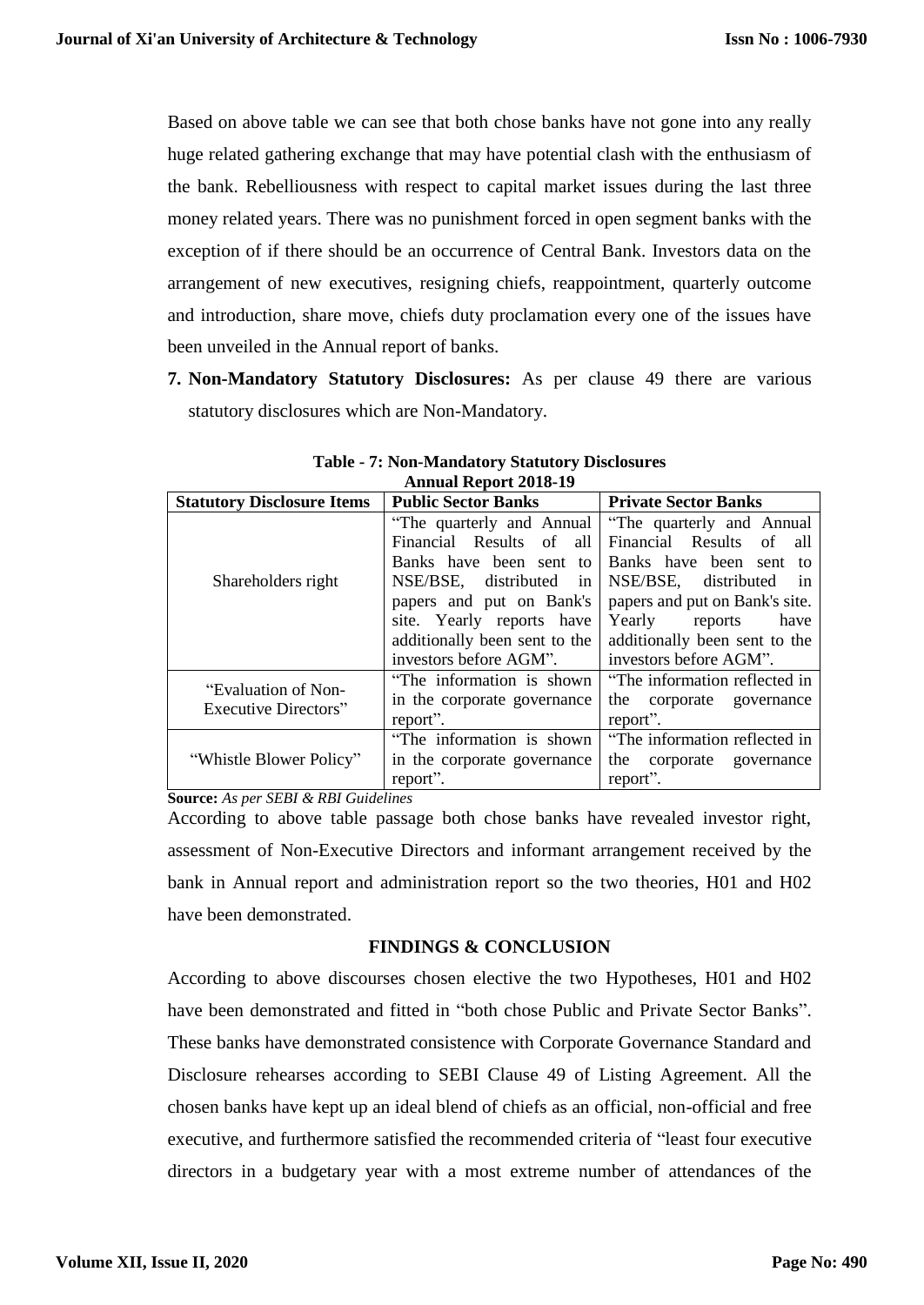Based on above table we can see that both chose banks have not gone into any really huge related gathering exchange that may have potential clash with the enthusiasm of the bank. Rebelliousness with respect to capital market issues during the last three money related years. There was no punishment forced in open segment banks with the exception of if there should be an occurrence of Central Bank. Investors data on the arrangement of new executives, resigning chiefs, reappointment, quarterly outcome and introduction, share move, chiefs duty proclamation every one of the issues have been unveiled in the Annual report of banks.

**7. Non-Mandatory Statutory Disclosures:** As per clause 49 there are various statutory disclosures which are Non-Mandatory.

| Alliiuai Report 4010-19<br><b>Public Sector Banks</b> |                               |                                |  |  |  |  |
|-------------------------------------------------------|-------------------------------|--------------------------------|--|--|--|--|
| <b>Statutory Disclosure Items</b>                     | <b>Private Sector Banks</b>   |                                |  |  |  |  |
|                                                       | "The quarterly and Annual"    | "The quarterly and Annual"     |  |  |  |  |
|                                                       | Financial Results of<br>all   | Financial Results of all       |  |  |  |  |
|                                                       | Banks have been sent to       | Banks have been sent to        |  |  |  |  |
| Shareholders right                                    | NSE/BSE, distributed<br>in    | NSE/BSE, distributed<br>in     |  |  |  |  |
|                                                       | papers and put on Bank's      | papers and put on Bank's site. |  |  |  |  |
|                                                       | site. Yearly reports have     | Yearly reports<br>have         |  |  |  |  |
|                                                       | additionally been sent to the | additionally been sent to the  |  |  |  |  |
|                                                       | investors before AGM".        | investors before AGM".         |  |  |  |  |
| "Evaluation of Non-                                   | "The information is shown"    | "The information reflected in  |  |  |  |  |
| <b>Executive Directors"</b>                           | in the corporate governance   | the corporate governance       |  |  |  |  |
|                                                       | report".                      | report".                       |  |  |  |  |
|                                                       | "The information is shown     | "The information reflected in  |  |  |  |  |
| "Whistle Blower Policy"                               | in the corporate governance   | the corporate governance       |  |  |  |  |
|                                                       | report".                      | report".                       |  |  |  |  |

# **Table - 7: Non-Mandatory Statutory Disclosures Annual Report 2018-19**

**Source:** *As per SEBI & RBI Guidelines*

According to above table passage both chose banks have revealed investor right, assessment of Non-Executive Directors and informant arrangement received by the bank in Annual report and administration report so the two theories, H01 and H02 have been demonstrated.

# **FINDINGS & CONCLUSION**

According to above discourses chosen elective the two Hypotheses, H01 and H02 have been demonstrated and fitted in "both chose Public and Private Sector Banks". These banks have demonstrated consistence with Corporate Governance Standard and Disclosure rehearses according to SEBI Clause 49 of Listing Agreement. All the chosen banks have kept up an ideal blend of chiefs as an official, non-official and free executive, and furthermore satisfied the recommended criteria of "least four executive directors in a budgetary year with a most extreme number of attendances of the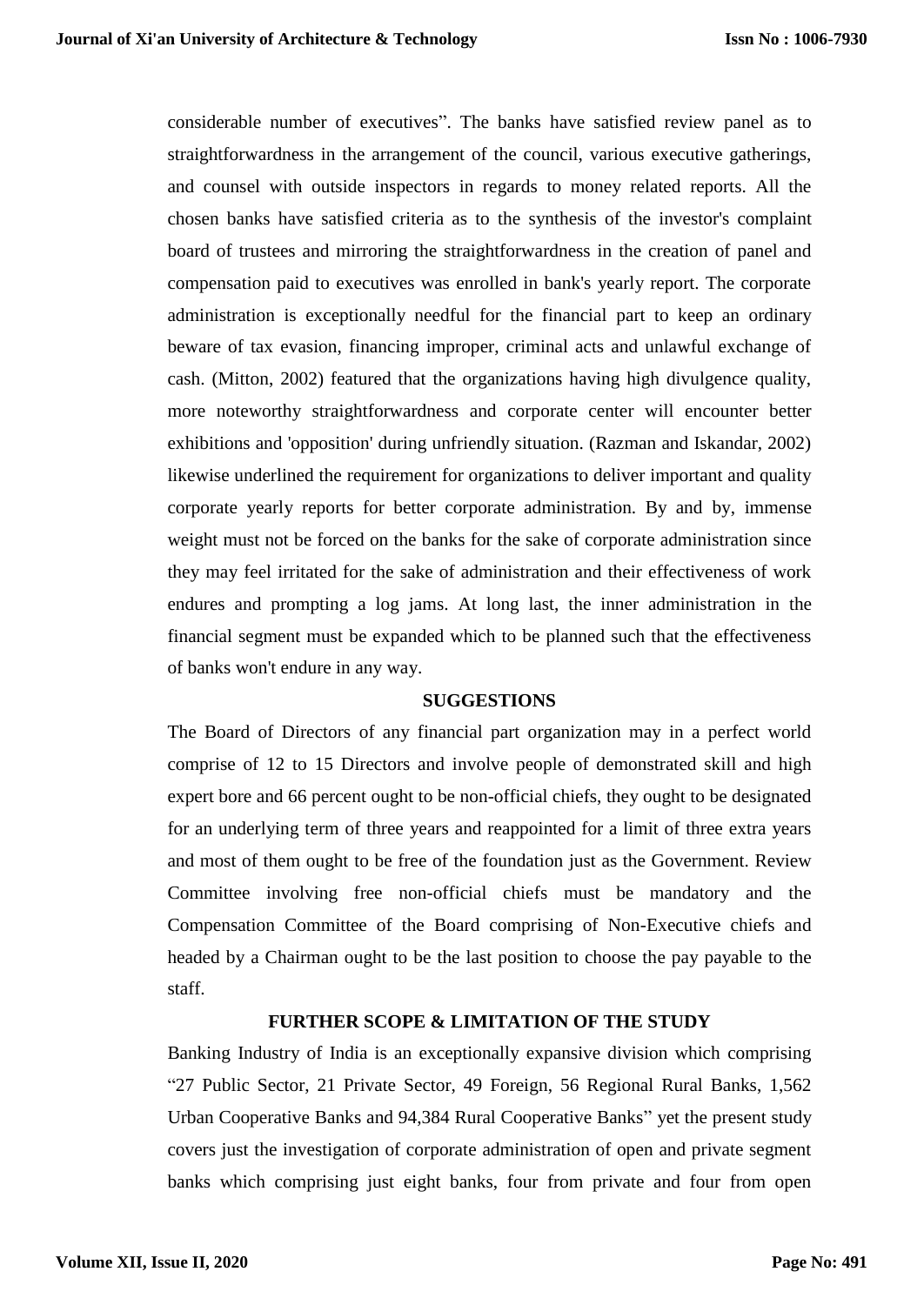considerable number of executives". The banks have satisfied review panel as to straightforwardness in the arrangement of the council, various executive gatherings, and counsel with outside inspectors in regards to money related reports. All the chosen banks have satisfied criteria as to the synthesis of the investor's complaint board of trustees and mirroring the straightforwardness in the creation of panel and compensation paid to executives was enrolled in bank's yearly report. The corporate administration is exceptionally needful for the financial part to keep an ordinary beware of tax evasion, financing improper, criminal acts and unlawful exchange of cash. (Mitton, 2002) featured that the organizations having high divulgence quality, more noteworthy straightforwardness and corporate center will encounter better exhibitions and 'opposition' during unfriendly situation. (Razman and Iskandar, 2002) likewise underlined the requirement for organizations to deliver important and quality corporate yearly reports for better corporate administration. By and by, immense weight must not be forced on the banks for the sake of corporate administration since they may feel irritated for the sake of administration and their effectiveness of work endures and prompting a log jams. At long last, the inner administration in the financial segment must be expanded which to be planned such that the effectiveness of banks won't endure in any way.

# **SUGGESTIONS**

The Board of Directors of any financial part organization may in a perfect world comprise of 12 to 15 Directors and involve people of demonstrated skill and high expert bore and 66 percent ought to be non-official chiefs, they ought to be designated for an underlying term of three years and reappointed for a limit of three extra years and most of them ought to be free of the foundation just as the Government. Review Committee involving free non-official chiefs must be mandatory and the Compensation Committee of the Board comprising of Non-Executive chiefs and headed by a Chairman ought to be the last position to choose the pay payable to the staff.

# **FURTHER SCOPE & LIMITATION OF THE STUDY**

Banking Industry of India is an exceptionally expansive division which comprising "27 Public Sector, 21 Private Sector, 49 Foreign, 56 Regional Rural Banks, 1,562 Urban Cooperative Banks and 94,384 Rural Cooperative Banks" yet the present study covers just the investigation of corporate administration of open and private segment banks which comprising just eight banks, four from private and four from open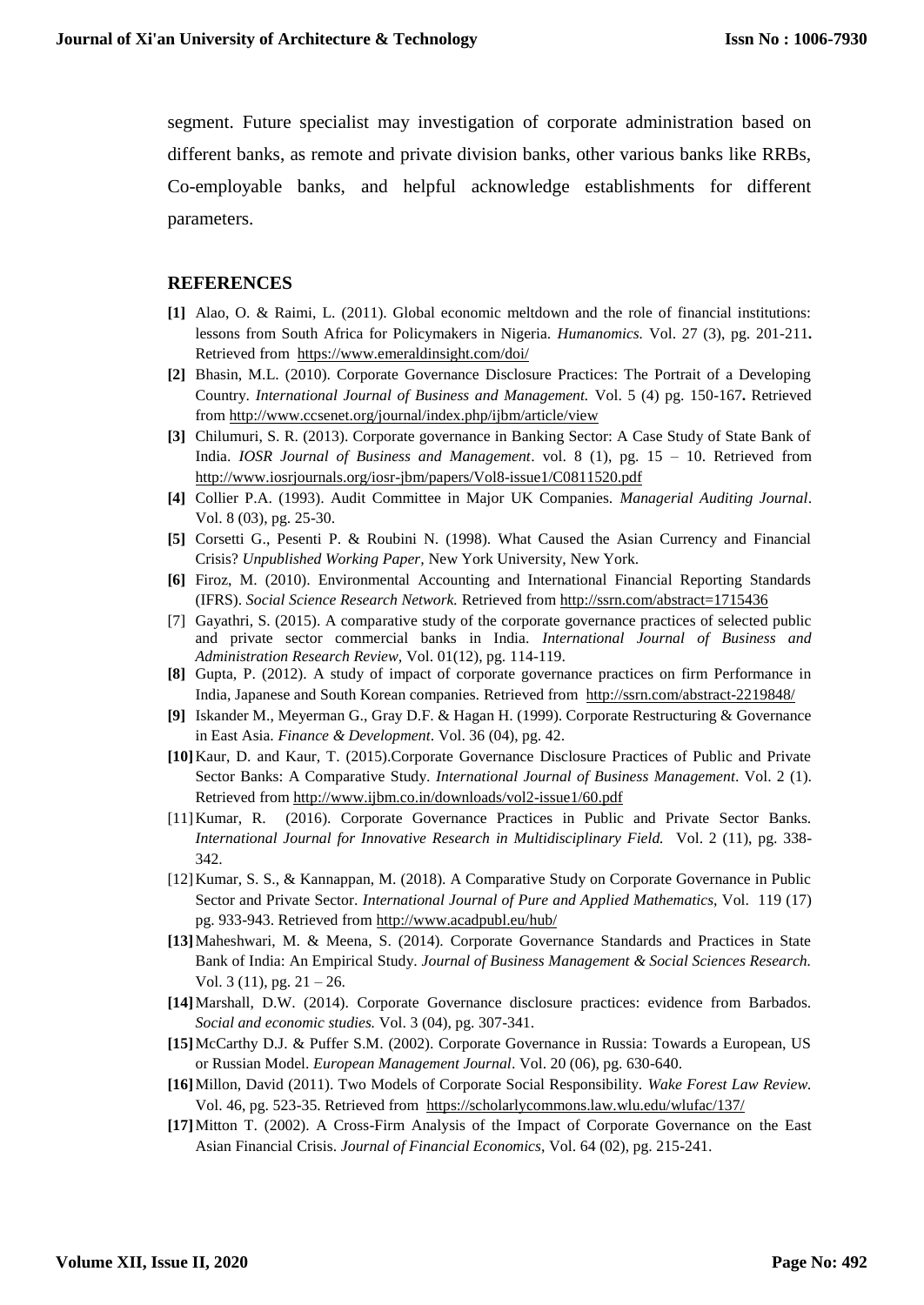segment. Future specialist may investigation of corporate administration based on different banks, as remote and private division banks, other various banks like RRBs, Co-employable banks, and helpful acknowledge establishments for different parameters.

#### **REFERENCES**

- **[1]** Alao, O. & Raimi, L. (2011). Global economic meltdown and the role of financial institutions: lessons from South Africa for Policymakers in Nigeria. *Humanomics.* Vol. 27 (3), pg. 201-211**.**  Retrieved from <https://www.emeraldinsight.com/doi/>
- **[2]** Bhasin, M.L. (2010). Corporate Governance Disclosure Practices: The Portrait of a Developing Country. *International Journal of Business and Management.* Vol. 5 (4) pg. 150-167**.** Retrieved from<http://www.ccsenet.org/journal/index.php/ijbm/article/view>
- **[3]** Chilumuri, S. R. (2013). Corporate governance in Banking Sector: A Case Study of State Bank of India. *IOSR Journal of Business and Management*. vol. 8 (1), pg. 15 – 10. Retrieved from <http://www.iosrjournals.org/iosr-jbm/papers/Vol8-issue1/C0811520.pdf>
- **[4]** Collier P.A. (1993). Audit Committee in Major UK Companies. *Managerial Auditing Journal*. Vol. 8 (03), pg. 25-30.
- **[5]** Corsetti G., Pesenti P. & Roubini N. (1998). What Caused the Asian Currency and Financial Crisis? *Unpublished Working Paper,* New York University, New York.
- **[6]** Firoz, M. (2010). Environmental Accounting and International Financial Reporting Standards (IFRS). *Social Science Research Network.* Retrieved from <http://ssrn.com/abstract=1715436>
- [7] Gayathri, S. (2015). A comparative study of the corporate governance practices of selected public and private sector commercial banks in India. *International Journal of Business and Administration Research Review,* Vol. 01(12), pg. 114-119.
- **[8]** Gupta, P. (2012). A study of impact of corporate governance practices on firm Performance in India, Japanese and South Korean companies*.* Retrieved from <http://ssrn.com/abstract-2219848/>
- **[9]** Iskander M., Meyerman G., Gray D.F. & Hagan H. (1999). Corporate Restructuring & Governance in East Asia. *Finance & Development*. Vol. 36 (04), pg. 42.
- **[10]**Kaur, D. and Kaur, T. (2015).Corporate Governance Disclosure Practices of Public and Private Sector Banks: A Comparative Study. *International Journal of Business Management*. Vol. 2 (1). Retrieved from<http://www.ijbm.co.in/downloads/vol2-issue1/60.pdf>
- [11]Kumar, R. (2016). Corporate Governance Practices in Public and Private Sector Banks. *International Journal for Innovative Research in Multidisciplinary Field.* Vol. 2 (11), pg. 338- 342.
- [12]Kumar, S. S., & Kannappan, M. (2018). A Comparative Study on Corporate Governance in Public Sector and Private Sector. *International Journal of Pure and Applied Mathematics,* Vol. 119 (17) pg. 933-943. Retrieved fro[m http://www.acadpubl.eu/hub/](http://www.acadpubl.eu/hub/)
- **[13]**Maheshwari, M. & Meena, S. (2014). Corporate Governance Standards and Practices in State Bank of India: An Empirical Study. *Journal of Business Management & Social Sciences Research.*  Vol. 3 (11), pg.  $21 - 26$ .
- **[14]**Marshall, D.W. (2014). Corporate Governance disclosure practices: evidence from Barbados. *Social and economic studies.* Vol. 3 (04), pg. 307-341.
- **[15]**McCarthy D.J. & Puffer S.M. (2002). Corporate Governance in Russia: Towards a European, US or Russian Model. *European Management Journal*. Vol. 20 (06), pg. 630-640.
- **[16]**Millon, David (2011). Two Models of Corporate Social Responsibility. *Wake Forest Law Review.*  Vol. 46, pg. 523-35. Retrieved from <https://scholarlycommons.law.wlu.edu/wlufac/137/>
- **[17]**Mitton T. (2002). A Cross-Firm Analysis of the Impact of Corporate Governance on the East Asian Financial Crisis. *Journal of Financial Economics*, Vol. 64 (02), pg. 215-241.